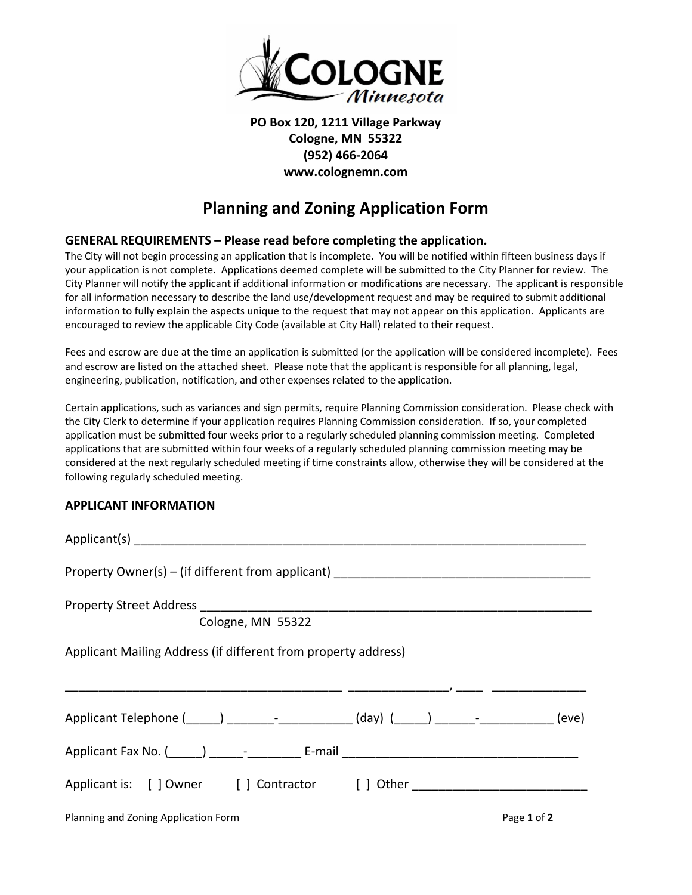

## **PO Box 120, 1211 Village Parkway Cologne, MN 55322 (952) 466-2064 www.colognemn.com**

## **Planning and Zoning Application Form**

## **GENERAL REQUIREMENTS – Please read before completing the application.**

The City will not begin processing an application that is incomplete. You will be notified within fifteen business days if your application is not complete. Applications deemed complete will be submitted to the City Planner for review. The City Planner will notify the applicant if additional information or modifications are necessary. The applicant is responsible for all information necessary to describe the land use/development request and may be required to submit additional information to fully explain the aspects unique to the request that may not appear on this application. Applicants are encouraged to review the applicable City Code (available at City Hall) related to their request.

Fees and escrow are due at the time an application is submitted (or the application will be considered incomplete). Fees and escrow are listed on the attached sheet. Please note that the applicant is responsible for all planning, legal, engineering, publication, notification, and other expenses related to the application.

Certain applications, such as variances and sign permits, require Planning Commission consideration. Please check with the City Clerk to determine if your application requires Planning Commission consideration. If so, your completed application must be submitted four weeks prior to a regularly scheduled planning commission meeting. Completed applications that are submitted within four weeks of a regularly scheduled planning commission meeting may be considered at the next regularly scheduled meeting if time constraints allow, otherwise they will be considered at the following regularly scheduled meeting.

## **APPLICANT INFORMATION**

| Property Owner(s) - (if different from applicant) ______________________________             |  |             |
|----------------------------------------------------------------------------------------------|--|-------------|
|                                                                                              |  |             |
| Cologne, MN 55322                                                                            |  |             |
| Applicant Mailing Address (if different from property address)<br>$\overline{\phantom{a}}$   |  |             |
| Applicant Telephone (______) _________-_____________(day) (______) _______-____________(eve) |  |             |
|                                                                                              |  |             |
| Applicant is: [ ] Owner [ ] Contractor [ ] Other _______________________________             |  |             |
| Planning and Zoning Application Form                                                         |  | Page 1 of 2 |